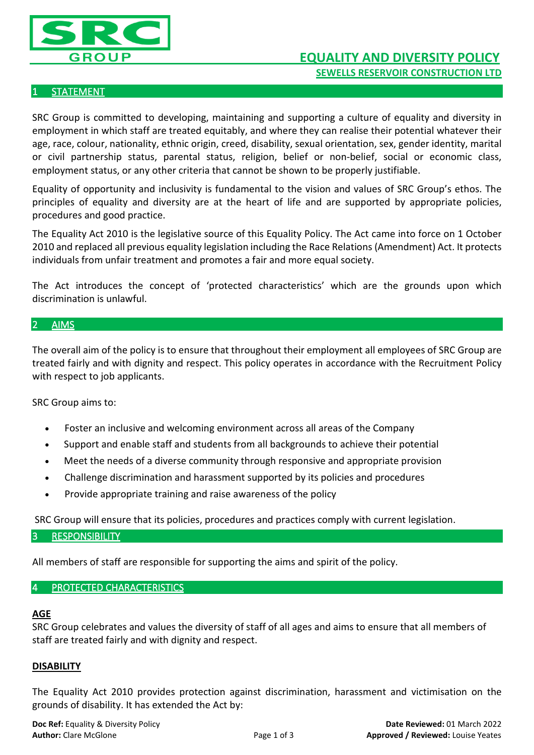

# **STATEMENT**

SRC Group is committed to developing, maintaining and supporting a culture of equality and diversity in employment in which staff are treated equitably, and where they can realise their potential whatever their age, race, colour, nationality, ethnic origin, creed, disability, sexual orientation, sex, gender identity, marital or civil partnership status, parental status, religion, belief or non-belief, social or economic class, employment status, or any other criteria that cannot be shown to be properly justifiable.

Equality of opportunity and inclusivity is fundamental to the vision and values of SRC Group's ethos. The principles of equality and diversity are at the heart of life and are supported by appropriate policies, procedures and good practice.

The Equality Act 2010 is the legislative source of this Equality Policy. The Act came into force on 1 October 2010 and replaced all previous equality legislation including the Race Relations (Amendment) Act. It protects individuals from unfair treatment and promotes a fair and more equal society.

The Act introduces the concept of 'protected characteristics' which are the grounds upon which discrimination is unlawful.

# 2 AIMS

The overall aim of the policy is to ensure that throughout their employment all employees of SRC Group are treated fairly and with dignity and respect. This policy operates in accordance with the Recruitment Policy with respect to job applicants.

SRC Group aims to:

- Foster an inclusive and welcoming environment across all areas of the Company
- Support and enable staff and students from all backgrounds to achieve their potential
- Meet the needs of a diverse community through responsive and appropriate provision
- Challenge discrimination and harassment supported by its policies and procedures
- Provide appropriate training and raise awareness of the policy

SRC Group will ensure that its policies, procedures and practices comply with current legislation.

#### 3 RESPONSIBILITY

All members of staff are responsible for supporting the aims and spirit of the policy.

# 4 PROTECTED CHARACTERISTICS

#### **AGE**

SRC Group celebrates and values the diversity of staff of all ages and aims to ensure that all members of staff are treated fairly and with dignity and respect.

# **DISABILITY**

The Equality Act 2010 provides protection against discrimination, harassment and victimisation on the grounds of disability. It has extended the Act by: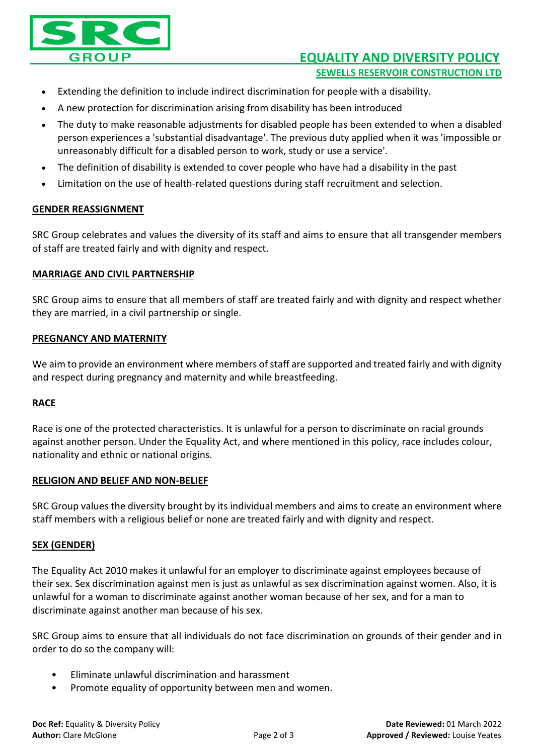

# **EQUALITY AND DIVERSITY POLICY SEWELLS RESERVOIR CONSTRUCTION LTD**

- Extending the definition to include indirect discrimination for people with a disability.
- A new protection for discrimination arising from disability has been introduced
- The duty to make reasonable adjustments for disabled people has been extended to when a disabled person experiences a 'substantial disadvantage'. The previous duty applied when it was 'impossible or unreasonably difficult for a disabled person to work, study or use a service'.
- The definition of disability is extended to cover people who have had a disability in the pas[t](http://www.ecu.ac.uk/publications/equality-act-2010-key-actions-for-the-october-provisions)
- Limitation on the use of health-related questions during staff recruitment and selection.

## **GENDER REASSIGNMENT**

SRC Group celebrates and values the diversity of its staff and aims to ensure that all transgender members of staff are treated fairly and with dignity and respect.

## **MARRIAGE AND CIVIL PARTNERSHIP**

SRC Group aims to ensure that all members of staff are treated fairly and with dignity and respect whether they are married, in a civil partnership or single.

## **PREGNANCY AND MATERNITY**

We aim to provide an environment where members of staff are supported and treated fairly and with dignity and respect during pregnancy and maternity and while breastfeeding.

# **RACE**

Race is one of the protected characteristics. It is unlawful for a person to discriminate on racial grounds against another person. Under the Equality Act, and where mentioned in this policy, race includes colour, nationality and ethnic or national origins.

#### **RELIGION AND BELIEF AND NON-BELIEF**

SRC Group values the diversity brought by its individual members and aims to create an environment where staff members with a religious belief or none are treated fairly and with dignity and respect.

# **SEX (GENDER)**

The Equality Act 2010 makes it unlawful for an employer to discriminate against employees because of their sex. Sex discrimination against men is just as unlawful as sex discrimination against women. Also, it is unlawful for a woman to discriminate against another woman because of her sex, and for a man to discriminate against another man because of his sex.

SRC Group aims to ensure that all individuals do not face discrimination on grounds of their gender and in order to do so the company will:

- Eliminate unlawful discrimination and harassment
- Promote equality of opportunity between men and women.